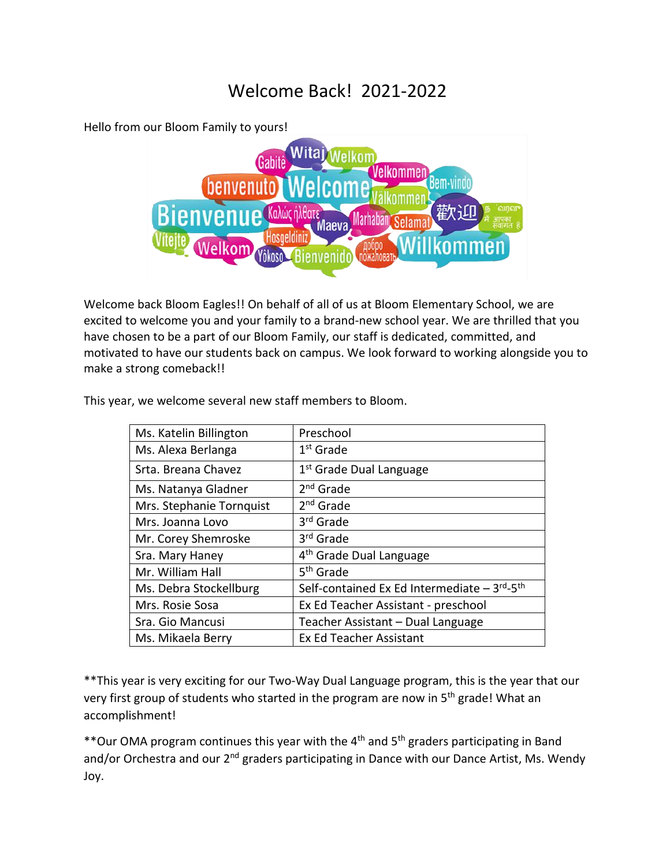## Welcome Back! 2021-2022

Hello from our Bloom Family to yours!



Welcome back Bloom Eagles!! On behalf of all of us at Bloom Elementary School, we are excited to welcome you and your family to a brand-new school year. We are thrilled that you have chosen to be a part of our Bloom Family, our staff is dedicated, committed, and motivated to have our students back on campus. We look forward to working alongside you to make a strong comeback!!

This year, we welcome several new staff members to Bloom.

| Ms. Katelin Billington   | Preschool                                                    |
|--------------------------|--------------------------------------------------------------|
| Ms. Alexa Berlanga       | $1st$ Grade                                                  |
| Srta. Breana Chavez      | 1 <sup>st</sup> Grade Dual Language                          |
| Ms. Natanya Gladner      | 2 <sup>nd</sup> Grade                                        |
| Mrs. Stephanie Tornquist | $2nd$ Grade                                                  |
| Mrs. Joanna Lovo         | 3 <sup>rd</sup> Grade                                        |
| Mr. Corey Shemroske      | 3 <sup>rd</sup> Grade                                        |
| Sra. Mary Haney          | 4 <sup>th</sup> Grade Dual Language                          |
| Mr. William Hall         | 5 <sup>th</sup> Grade                                        |
| Ms. Debra Stockellburg   | Self-contained Ex Ed Intermediate $-3^{rd}$ -5 <sup>th</sup> |
| Mrs. Rosie Sosa          | Ex Ed Teacher Assistant - preschool                          |
| Sra. Gio Mancusi         | Teacher Assistant - Dual Language                            |
| Ms. Mikaela Berry        | Ex Ed Teacher Assistant                                      |

\*\*This year is very exciting for our Two-Way Dual Language program, this is the year that our very first group of students who started in the program are now in 5<sup>th</sup> grade! What an accomplishment!

\*\*Our OMA program continues this year with the 4th and 5th graders participating in Band and/or Orchestra and our 2<sup>nd</sup> graders participating in Dance with our Dance Artist, Ms. Wendy Joy.